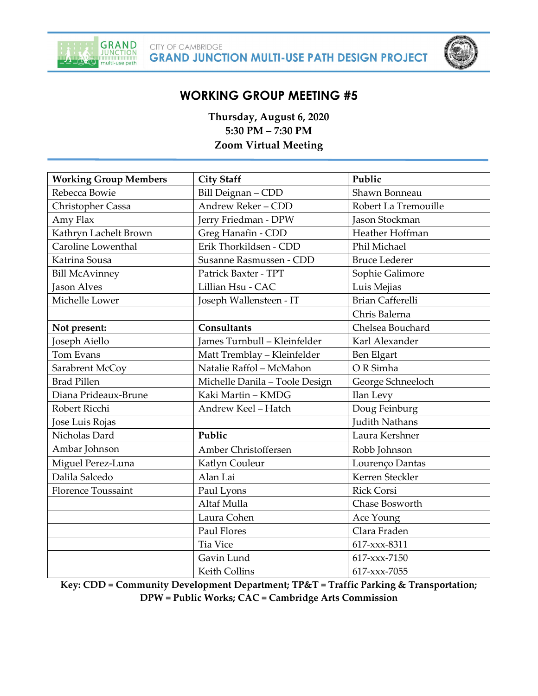



# **WORKING GROUP MEETING #5**

**Thursday, August 6, 2020 5:30 PM – 7:30 PM Zoom Virtual Meeting**

| <b>Working Group Members</b> | <b>City Staff</b>              | Public                  |
|------------------------------|--------------------------------|-------------------------|
| Rebecca Bowie                | Bill Deignan - CDD             | Shawn Bonneau           |
| Christopher Cassa            | Andrew Reker - CDD             | Robert La Tremouille    |
| Amy Flax                     | Jerry Friedman - DPW           | Jason Stockman          |
| Kathryn Lachelt Brown        | Greg Hanafin - CDD             | Heather Hoffman         |
| Caroline Lowenthal           | Erik Thorkildsen - CDD         | Phil Michael            |
| Katrina Sousa                | Susanne Rasmussen - CDD        | <b>Bruce Lederer</b>    |
| <b>Bill McAvinney</b>        | Patrick Baxter - TPT           | Sophie Galimore         |
| <b>Jason Alves</b>           | Lillian Hsu - CAC              | Luis Mejias             |
| Michelle Lower               | Joseph Wallensteen - IT        | <b>Brian Cafferelli</b> |
|                              |                                | Chris Balerna           |
| Not present:                 | Consultants                    | Chelsea Bouchard        |
| Joseph Aiello                | James Turnbull - Kleinfelder   | Karl Alexander          |
| Tom Evans                    | Matt Tremblay - Kleinfelder    | Ben Elgart              |
| Sarabrent McCoy              | Natalie Raffol - McMahon       | OR Simha                |
| <b>Brad Pillen</b>           | Michelle Danila - Toole Design | George Schneeloch       |
| Diana Prideaux-Brune         | Kaki Martin - KMDG             | Ilan Levy               |
| Robert Ricchi                | Andrew Keel - Hatch            | Doug Feinburg           |
| Jose Luis Rojas              |                                | <b>Judith Nathans</b>   |
| Nicholas Dard                | Public                         | Laura Kershner          |
| Ambar Johnson                | Amber Christoffersen           | Robb Johnson            |
| Miguel Perez-Luna            | Katlyn Couleur                 | Lourenço Dantas         |
| Dalila Salcedo               | Alan Lai                       | Kerren Steckler         |
| <b>Florence Toussaint</b>    | Paul Lyons                     | <b>Rick Corsi</b>       |
|                              | Altaf Mulla                    | Chase Bosworth          |
|                              | Laura Cohen                    | Ace Young               |
|                              | <b>Paul Flores</b>             | Clara Fraden            |
|                              | Tia Vice                       | 617-xxx-8311            |
|                              | Gavin Lund                     | 617-xxx-7150            |
|                              | <b>Keith Collins</b>           | 617-xxx-7055            |

**Key: CDD = Community Development Department; TP&T = Traffic Parking & Transportation; DPW = Public Works; CAC = Cambridge Arts Commission**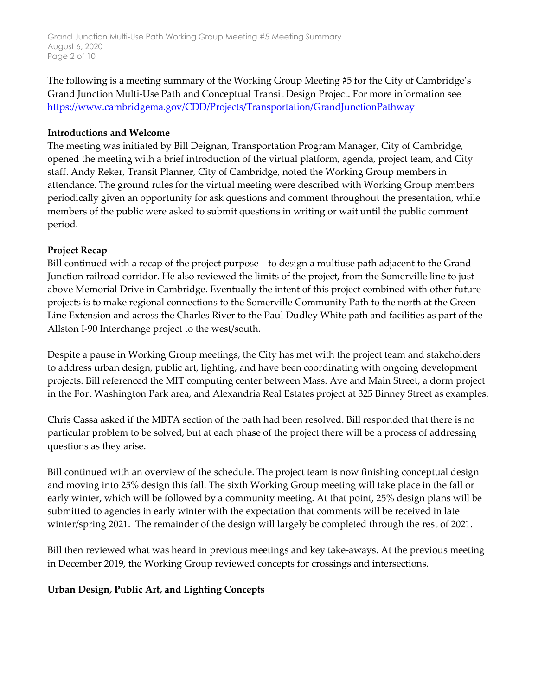The following is a meeting summary of the Working Group Meeting #5 for the City of Cambridge's Grand Junction Multi-Use Path and Conceptual Transit Design Project. For more information see [https://www.cambridgema.gov/CDD/Projects/Transportation/GrandJunctionPathway](https://urldefense.proofpoint.com/v2/url?u=https-3A__www.cambridgema.gov_CDD_Projects_Transportation_GrandJunctionPathway&d=DwMFAg&c=Wcuf9k1_EBHeUkWddeRrap9w7owjHzm9fTmkRSxmUBs&r=IJFRE7ILXWrX_o9-PqaKJplEm2jRiFDY8Ujd8vdEdW0&m=ejtaoQpi7VJQCaWQyBR9KcYdbxxjVONNLDEKaZ7GjvI&s=2tOxScDTiqo2hRXyjW85D6VU-1kCxRtZWJTjkanz-II&e=)

#### **Introductions and Welcome**

The meeting was initiated by Bill Deignan, Transportation Program Manager, City of Cambridge, opened the meeting with a brief introduction of the virtual platform, agenda, project team, and City staff. Andy Reker, Transit Planner, City of Cambridge, noted the Working Group members in attendance. The ground rules for the virtual meeting were described with Working Group members periodically given an opportunity for ask questions and comment throughout the presentation, while members of the public were asked to submit questions in writing or wait until the public comment period.

#### **Project Recap**

Bill continued with a recap of the project purpose – to design a multiuse path adjacent to the Grand Junction railroad corridor. He also reviewed the limits of the project, from the Somerville line to just above Memorial Drive in Cambridge. Eventually the intent of this project combined with other future projects is to make regional connections to the Somerville Community Path to the north at the Green Line Extension and across the Charles River to the Paul Dudley White path and facilities as part of the Allston I-90 Interchange project to the west/south.

Despite a pause in Working Group meetings, the City has met with the project team and stakeholders to address urban design, public art, lighting, and have been coordinating with ongoing development projects. Bill referenced the MIT computing center between Mass. Ave and Main Street, a dorm project in the Fort Washington Park area, and Alexandria Real Estates project at 325 Binney Street as examples.

Chris Cassa asked if the MBTA section of the path had been resolved. Bill responded that there is no particular problem to be solved, but at each phase of the project there will be a process of addressing questions as they arise.

Bill continued with an overview of the schedule. The project team is now finishing conceptual design and moving into 25% design this fall. The sixth Working Group meeting will take place in the fall or early winter, which will be followed by a community meeting. At that point, 25% design plans will be submitted to agencies in early winter with the expectation that comments will be received in late winter/spring 2021. The remainder of the design will largely be completed through the rest of 2021.

Bill then reviewed what was heard in previous meetings and key take-aways. At the previous meeting in December 2019, the Working Group reviewed concepts for crossings and intersections.

#### **Urban Design, Public Art, and Lighting Concepts**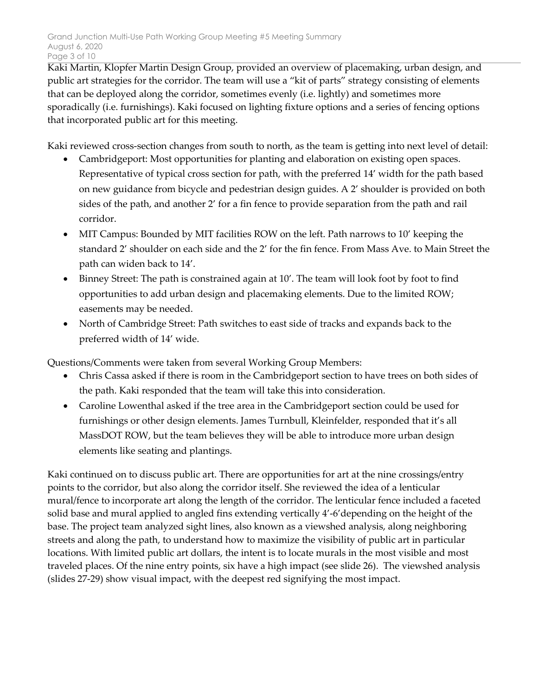Kaki Martin, Klopfer Martin Design Group, provided an overview of placemaking, urban design, and public art strategies for the corridor. The team will use a "kit of parts" strategy consisting of elements that can be deployed along the corridor, sometimes evenly (i.e. lightly) and sometimes more sporadically (i.e. furnishings). Kaki focused on lighting fixture options and a series of fencing options that incorporated public art for this meeting.

Kaki reviewed cross-section changes from south to north, as the team is getting into next level of detail:

- Cambridgeport: Most opportunities for planting and elaboration on existing open spaces. Representative of typical cross section for path, with the preferred 14' width for the path based on new guidance from bicycle and pedestrian design guides. A 2' shoulder is provided on both sides of the path, and another 2' for a fin fence to provide separation from the path and rail corridor.
- MIT Campus: Bounded by MIT facilities ROW on the left. Path narrows to 10' keeping the standard 2' shoulder on each side and the 2' for the fin fence. From Mass Ave. to Main Street the path can widen back to 14'.
- Binney Street: The path is constrained again at 10'. The team will look foot by foot to find opportunities to add urban design and placemaking elements. Due to the limited ROW; easements may be needed.
- North of Cambridge Street: Path switches to east side of tracks and expands back to the preferred width of 14' wide.

Questions/Comments were taken from several Working Group Members:

- Chris Cassa asked if there is room in the Cambridgeport section to have trees on both sides of the path. Kaki responded that the team will take this into consideration.
- Caroline Lowenthal asked if the tree area in the Cambridgeport section could be used for furnishings or other design elements. James Turnbull, Kleinfelder, responded that it's all MassDOT ROW, but the team believes they will be able to introduce more urban design elements like seating and plantings.

Kaki continued on to discuss public art. There are opportunities for art at the nine crossings/entry points to the corridor, but also along the corridor itself. She reviewed the idea of a lenticular mural/fence to incorporate art along the length of the corridor. The lenticular fence included a faceted solid base and mural applied to angled fins extending vertically 4'-6'depending on the height of the base. The project team analyzed sight lines, also known as a viewshed analysis, along neighboring streets and along the path, to understand how to maximize the visibility of public art in particular locations. With limited public art dollars, the intent is to locate murals in the most visible and most traveled places. Of the nine entry points, six have a high impact (see slide 26). The viewshed analysis (slides 27-29) show visual impact, with the deepest red signifying the most impact.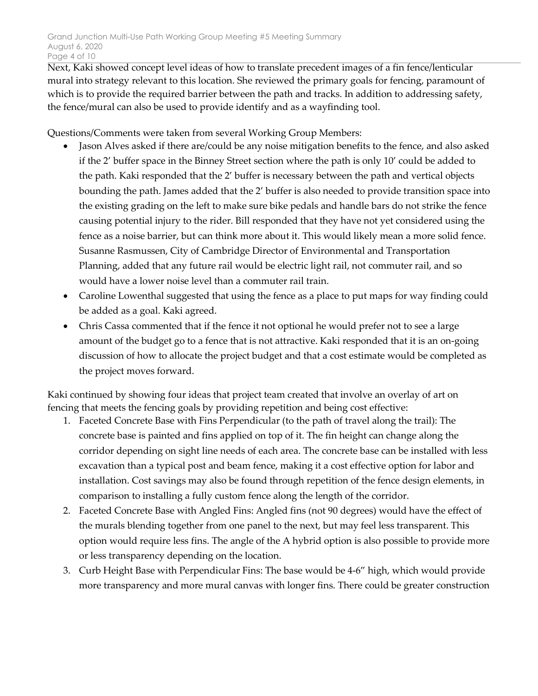Next, Kaki showed concept level ideas of how to translate precedent images of a fin fence/lenticular mural into strategy relevant to this location. She reviewed the primary goals for fencing, paramount of which is to provide the required barrier between the path and tracks. In addition to addressing safety, the fence/mural can also be used to provide identify and as a wayfinding tool.

Questions/Comments were taken from several Working Group Members:

- Jason Alves asked if there are/could be any noise mitigation benefits to the fence, and also asked if the 2' buffer space in the Binney Street section where the path is only 10' could be added to the path. Kaki responded that the 2' buffer is necessary between the path and vertical objects bounding the path. James added that the 2' buffer is also needed to provide transition space into the existing grading on the left to make sure bike pedals and handle bars do not strike the fence causing potential injury to the rider. Bill responded that they have not yet considered using the fence as a noise barrier, but can think more about it. This would likely mean a more solid fence. Susanne Rasmussen, City of Cambridge Director of Environmental and Transportation Planning, added that any future rail would be electric light rail, not commuter rail, and so would have a lower noise level than a commuter rail train.
- Caroline Lowenthal suggested that using the fence as a place to put maps for way finding could be added as a goal. Kaki agreed.
- Chris Cassa commented that if the fence it not optional he would prefer not to see a large amount of the budget go to a fence that is not attractive. Kaki responded that it is an on-going discussion of how to allocate the project budget and that a cost estimate would be completed as the project moves forward.

Kaki continued by showing four ideas that project team created that involve an overlay of art on fencing that meets the fencing goals by providing repetition and being cost effective:

- 1. Faceted Concrete Base with Fins Perpendicular (to the path of travel along the trail): The concrete base is painted and fins applied on top of it. The fin height can change along the corridor depending on sight line needs of each area. The concrete base can be installed with less excavation than a typical post and beam fence, making it a cost effective option for labor and installation. Cost savings may also be found through repetition of the fence design elements, in comparison to installing a fully custom fence along the length of the corridor.
- 2. Faceted Concrete Base with Angled Fins: Angled fins (not 90 degrees) would have the effect of the murals blending together from one panel to the next, but may feel less transparent. This option would require less fins. The angle of the A hybrid option is also possible to provide more or less transparency depending on the location.
- 3. Curb Height Base with Perpendicular Fins: The base would be 4-6" high, which would provide more transparency and more mural canvas with longer fins. There could be greater construction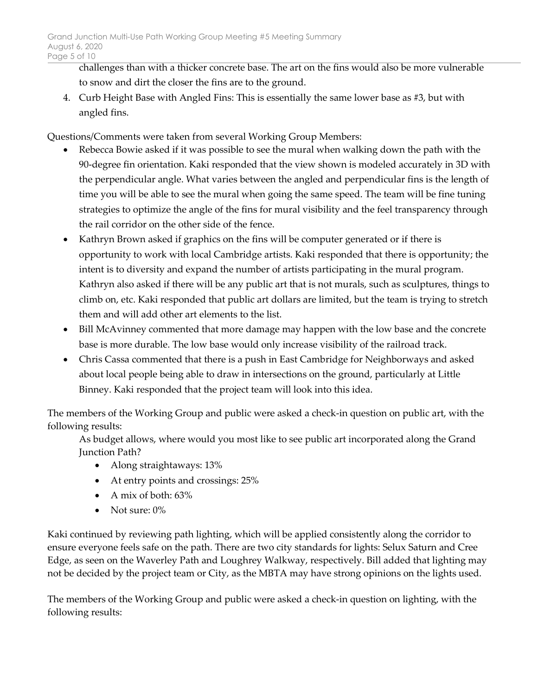challenges than with a thicker concrete base. The art on the fins would also be more vulnerable to snow and dirt the closer the fins are to the ground.

4. Curb Height Base with Angled Fins: This is essentially the same lower base as #3, but with angled fins.

Questions/Comments were taken from several Working Group Members:

- Rebecca Bowie asked if it was possible to see the mural when walking down the path with the 90-degree fin orientation. Kaki responded that the view shown is modeled accurately in 3D with the perpendicular angle. What varies between the angled and perpendicular fins is the length of time you will be able to see the mural when going the same speed. The team will be fine tuning strategies to optimize the angle of the fins for mural visibility and the feel transparency through the rail corridor on the other side of the fence.
- Kathryn Brown asked if graphics on the fins will be computer generated or if there is opportunity to work with local Cambridge artists. Kaki responded that there is opportunity; the intent is to diversity and expand the number of artists participating in the mural program. Kathryn also asked if there will be any public art that is not murals, such as sculptures, things to climb on, etc. Kaki responded that public art dollars are limited, but the team is trying to stretch them and will add other art elements to the list.
- Bill McAvinney commented that more damage may happen with the low base and the concrete base is more durable. The low base would only increase visibility of the railroad track.
- Chris Cassa commented that there is a push in East Cambridge for Neighborways and asked about local people being able to draw in intersections on the ground, particularly at Little Binney. Kaki responded that the project team will look into this idea.

The members of the Working Group and public were asked a check-in question on public art, with the following results:

As budget allows, where would you most like to see public art incorporated along the Grand Junction Path?

- Along straightaways: 13%
- At entry points and crossings: 25%
- A mix of both:  $63\%$
- Not sure:  $0\%$

Kaki continued by reviewing path lighting, which will be applied consistently along the corridor to ensure everyone feels safe on the path. There are two city standards for lights: Selux Saturn and Cree Edge, as seen on the Waverley Path and Loughrey Walkway, respectively. Bill added that lighting may not be decided by the project team or City, as the MBTA may have strong opinions on the lights used.

The members of the Working Group and public were asked a check-in question on lighting, with the following results: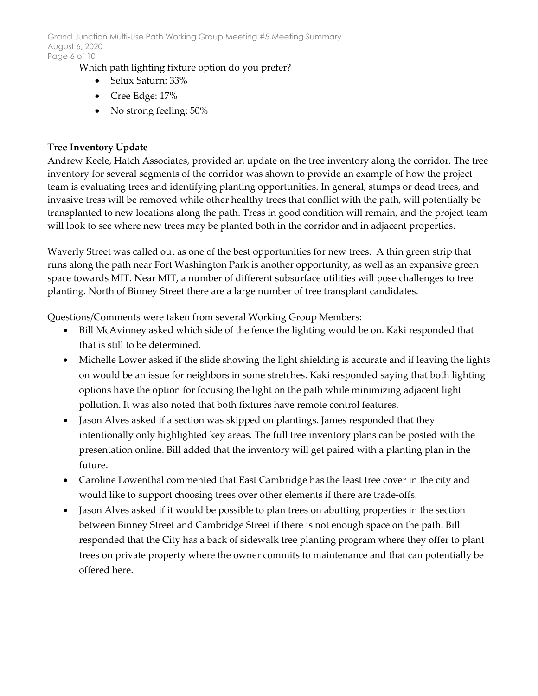Which path lighting fixture option do you prefer?

- Selux Saturn: 33%
- Cree Edge: 17%
- No strong feeling: 50%

## **Tree Inventory Update**

Andrew Keele, Hatch Associates, provided an update on the tree inventory along the corridor. The tree inventory for several segments of the corridor was shown to provide an example of how the project team is evaluating trees and identifying planting opportunities. In general, stumps or dead trees, and invasive tress will be removed while other healthy trees that conflict with the path, will potentially be transplanted to new locations along the path. Tress in good condition will remain, and the project team will look to see where new trees may be planted both in the corridor and in adjacent properties.

Waverly Street was called out as one of the best opportunities for new trees. A thin green strip that runs along the path near Fort Washington Park is another opportunity, as well as an expansive green space towards MIT. Near MIT, a number of different subsurface utilities will pose challenges to tree planting. North of Binney Street there are a large number of tree transplant candidates.

Questions/Comments were taken from several Working Group Members:

- Bill McAvinney asked which side of the fence the lighting would be on. Kaki responded that that is still to be determined.
- Michelle Lower asked if the slide showing the light shielding is accurate and if leaving the lights on would be an issue for neighbors in some stretches. Kaki responded saying that both lighting options have the option for focusing the light on the path while minimizing adjacent light pollution. It was also noted that both fixtures have remote control features.
- Jason Alves asked if a section was skipped on plantings. James responded that they intentionally only highlighted key areas. The full tree inventory plans can be posted with the presentation online. Bill added that the inventory will get paired with a planting plan in the future.
- Caroline Lowenthal commented that East Cambridge has the least tree cover in the city and would like to support choosing trees over other elements if there are trade-offs.
- Jason Alves asked if it would be possible to plan trees on abutting properties in the section between Binney Street and Cambridge Street if there is not enough space on the path. Bill responded that the City has a back of sidewalk tree planting program where they offer to plant trees on private property where the owner commits to maintenance and that can potentially be offered here.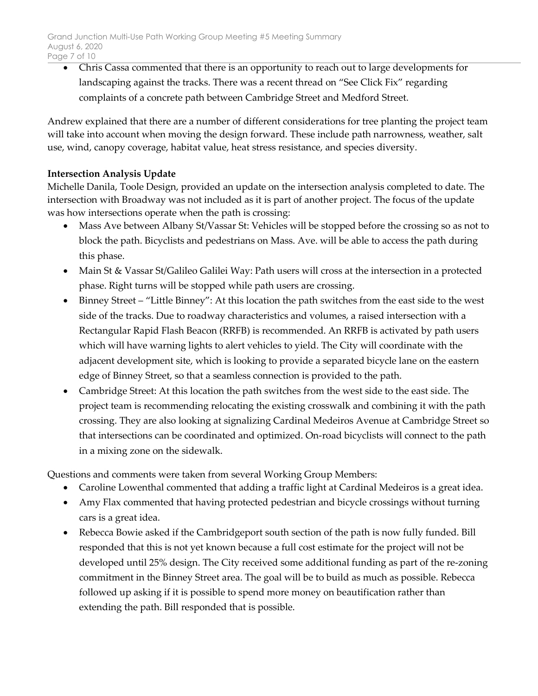• Chris Cassa commented that there is an opportunity to reach out to large developments for landscaping against the tracks. There was a recent thread on "See Click Fix" regarding complaints of a concrete path between Cambridge Street and Medford Street.

Andrew explained that there are a number of different considerations for tree planting the project team will take into account when moving the design forward. These include path narrowness, weather, salt use, wind, canopy coverage, habitat value, heat stress resistance, and species diversity.

# **Intersection Analysis Update**

Michelle Danila, Toole Design, provided an update on the intersection analysis completed to date. The intersection with Broadway was not included as it is part of another project. The focus of the update was how intersections operate when the path is crossing:

- Mass Ave between Albany St/Vassar St: Vehicles will be stopped before the crossing so as not to block the path. Bicyclists and pedestrians on Mass. Ave. will be able to access the path during this phase.
- Main St & Vassar St/Galileo Galilei Way: Path users will cross at the intersection in a protected phase. Right turns will be stopped while path users are crossing.
- Binney Street "Little Binney": At this location the path switches from the east side to the west side of the tracks. Due to roadway characteristics and volumes, a raised intersection with a Rectangular Rapid Flash Beacon (RRFB) is recommended. An RRFB is activated by path users which will have warning lights to alert vehicles to yield. The City will coordinate with the adjacent development site, which is looking to provide a separated bicycle lane on the eastern edge of Binney Street, so that a seamless connection is provided to the path.
- Cambridge Street: At this location the path switches from the west side to the east side. The project team is recommending relocating the existing crosswalk and combining it with the path crossing. They are also looking at signalizing Cardinal Medeiros Avenue at Cambridge Street so that intersections can be coordinated and optimized. On-road bicyclists will connect to the path in a mixing zone on the sidewalk.

Questions and comments were taken from several Working Group Members:

- Caroline Lowenthal commented that adding a traffic light at Cardinal Medeiros is a great idea.
- Amy Flax commented that having protected pedestrian and bicycle crossings without turning cars is a great idea.
- Rebecca Bowie asked if the Cambridgeport south section of the path is now fully funded. Bill responded that this is not yet known because a full cost estimate for the project will not be developed until 25% design. The City received some additional funding as part of the re-zoning commitment in the Binney Street area. The goal will be to build as much as possible. Rebecca followed up asking if it is possible to spend more money on beautification rather than extending the path. Bill responded that is possible.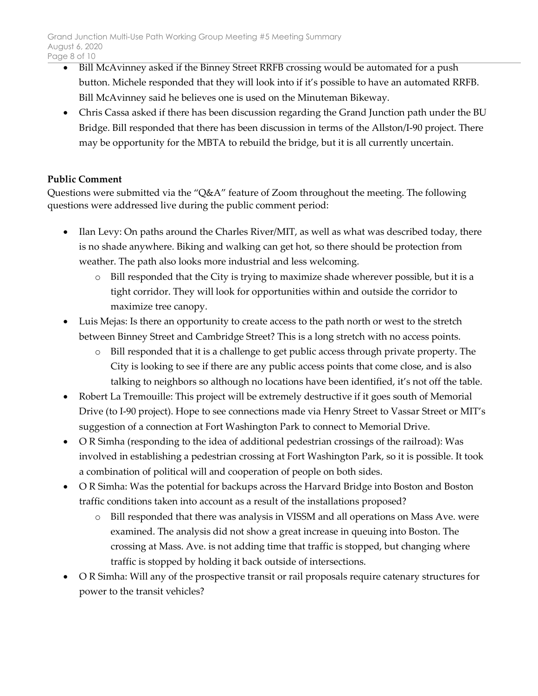- Bill McAvinney asked if the Binney Street RRFB crossing would be automated for a push button. Michele responded that they will look into if it's possible to have an automated RRFB. Bill McAvinney said he believes one is used on the Minuteman Bikeway.
- Chris Cassa asked if there has been discussion regarding the Grand Junction path under the BU Bridge. Bill responded that there has been discussion in terms of the Allston/I-90 project. There may be opportunity for the MBTA to rebuild the bridge, but it is all currently uncertain.

# **Public Comment**

Questions were submitted via the "Q&A" feature of Zoom throughout the meeting. The following questions were addressed live during the public comment period:

- Ilan Levy: On paths around the Charles River/MIT, as well as what was described today, there is no shade anywhere. Biking and walking can get hot, so there should be protection from weather. The path also looks more industrial and less welcoming.
	- o Bill responded that the City is trying to maximize shade wherever possible, but it is a tight corridor. They will look for opportunities within and outside the corridor to maximize tree canopy.
- Luis Mejas: Is there an opportunity to create access to the path north or west to the stretch between Binney Street and Cambridge Street? This is a long stretch with no access points.
	- o Bill responded that it is a challenge to get public access through private property. The City is looking to see if there are any public access points that come close, and is also talking to neighbors so although no locations have been identified, it's not off the table.
- Robert La Tremouille: This project will be extremely destructive if it goes south of Memorial Drive (to I-90 project). Hope to see connections made via Henry Street to Vassar Street or MIT's suggestion of a connection at Fort Washington Park to connect to Memorial Drive.
- O R Simha (responding to the idea of additional pedestrian crossings of the railroad): Was involved in establishing a pedestrian crossing at Fort Washington Park, so it is possible. It took a combination of political will and cooperation of people on both sides.
- O R Simha: Was the potential for backups across the Harvard Bridge into Boston and Boston traffic conditions taken into account as a result of the installations proposed?
	- o Bill responded that there was analysis in VISSM and all operations on Mass Ave. were examined. The analysis did not show a great increase in queuing into Boston. The crossing at Mass. Ave. is not adding time that traffic is stopped, but changing where traffic is stopped by holding it back outside of intersections.
- O R Simha: Will any of the prospective transit or rail proposals require catenary structures for power to the transit vehicles?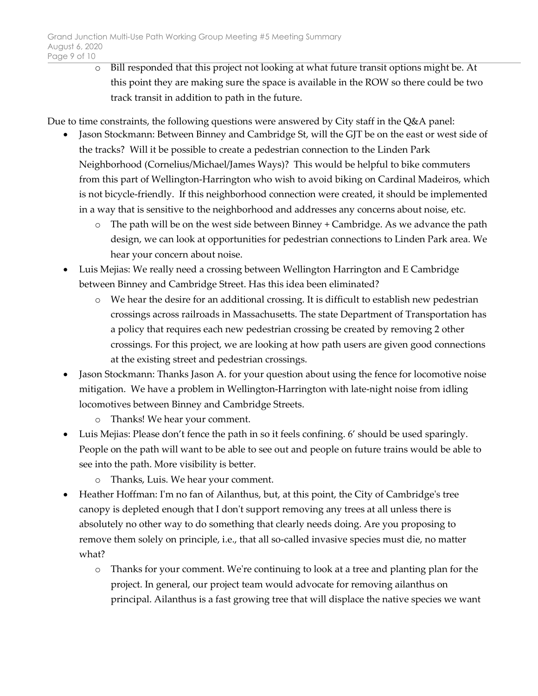o Bill responded that this project not looking at what future transit options might be. At this point they are making sure the space is available in the ROW so there could be two track transit in addition to path in the future.

Due to time constraints, the following questions were answered by City staff in the Q&A panel:

- Jason Stockmann: Between Binney and Cambridge St, will the GJT be on the east or west side of the tracks? Will it be possible to create a pedestrian connection to the Linden Park Neighborhood (Cornelius/Michael/James Ways)? This would be helpful to bike commuters from this part of Wellington-Harrington who wish to avoid biking on Cardinal Madeiros, which is not bicycle-friendly. If this neighborhood connection were created, it should be implemented in a way that is sensitive to the neighborhood and addresses any concerns about noise, etc.
	- o The path will be on the west side between Binney + Cambridge. As we advance the path design, we can look at opportunities for pedestrian connections to Linden Park area. We hear your concern about noise.
- Luis Mejias: We really need a crossing between Wellington Harrington and E Cambridge between Binney and Cambridge Street. Has this idea been eliminated?
	- o We hear the desire for an additional crossing. It is difficult to establish new pedestrian crossings across railroads in Massachusetts. The state Department of Transportation has a policy that requires each new pedestrian crossing be created by removing 2 other crossings. For this project, we are looking at how path users are given good connections at the existing street and pedestrian crossings.
- Jason Stockmann: Thanks Jason A. for your question about using the fence for locomotive noise mitigation. We have a problem in Wellington-Harrington with late-night noise from idling locomotives between Binney and Cambridge Streets.
	- o Thanks! We hear your comment.
- Luis Mejias: Please don't fence the path in so it feels confining. 6' should be used sparingly. People on the path will want to be able to see out and people on future trains would be able to see into the path. More visibility is better.
	- o Thanks, Luis. We hear your comment.
- Heather Hoffman: I'm no fan of Ailanthus, but, at this point, the City of Cambridge's tree canopy is depleted enough that I don't support removing any trees at all unless there is absolutely no other way to do something that clearly needs doing. Are you proposing to remove them solely on principle, i.e., that all so-called invasive species must die, no matter what?
	- o Thanks for your comment. We're continuing to look at a tree and planting plan for the project. In general, our project team would advocate for removing ailanthus on principal. Ailanthus is a fast growing tree that will displace the native species we want